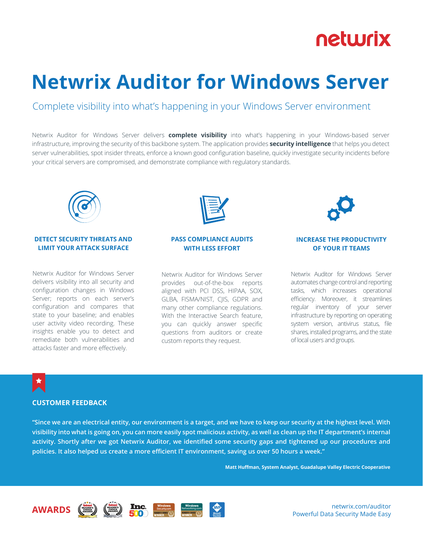## netwrix

# **Netwrix Auditor for Windows Server**

### Complete visibility into what's happening in your Windows Server environment

Netwrix Auditor for Windows Server delivers **complete visibility** into what's happening in your Windows-based server infrastructure, improving the security of this backbone system. The application provides **security intelligence** that helps you detect server vulnerabilities, spot insider threats, enforce a known good configuration baseline, quickly investigate security incidents before your critical servers are compromised, and demonstrate compliance with regulatory standards.



#### **DETECT SECURITY THREATS AND LIMIT YOUR ATTACK SURFACE**

Netwrix Auditor for Windows Server delivers visibility into all security and configuration changes in Windows Server; reports on each server's configuration and compares that state to your baseline; and enables user activity video recording. These insights enable you to detect and remediate both vulnerabilities and attacks faster and more effectively.



#### **PASS COMPLIANCE AUDITS WITH LESS EFFORT**

Netwrix Auditor for Windows Server provides out-of-the-box reports aligned with PCI DSS, HIPAA, SOX, GLBA, FISMA/NIST, CJIS, GDPR and many other compliance regulations. With the Interactive Search feature, you can quickly answer specific questions from auditors or create custom reports they request.



#### **INCREASE THE PRODUCTIVITY OF YOUR IT TEAMS**

Netwrix Auditor for Windows Server automates change control and reporting tasks, which increases operational efficiency. Moreover, it streamlines regular inventory of your server infrastructure by reporting on operating system version, antivirus status, file shares, installed programs, and the state of local users and groups.

#### **CUSTOMER FEEDBACK**

**"Since we are an electrical entity, our environment is a target, and we have to keep our security at the highest level. With visibility into what is going on, you can more easily spot malicious activity, as well as clean up the IT department's internal activity. Shortly after we got Netwrix Auditor, we identified some security gaps and tightened up our procedures and policies. It also helped us create a more efficient IT environment, saving us over 50 hours a week."**

**Matt Huffman, System Analyst, Guadalupe Valley Electric Cooperative**